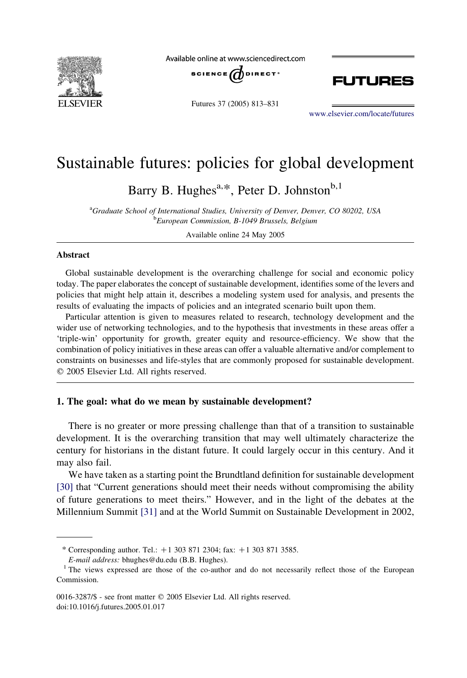

Available online at www.sciencedirect.com







[www.elsevier.com/locate/futures](http://www.elsevier.com/locate/futures)

# Sustainable futures: policies for global development

Barry B. Hughes<sup>a,\*</sup>, Peter D. Johnston<sup>b,1</sup>

<sup>a</sup>Graduate School of International Studies, University of Denver, Denver, CO 80202, USA b European Commission, B-1049 Brussels, Belgium

Available online 24 May 2005

#### Abstract

Global sustainable development is the overarching challenge for social and economic policy today. The paper elaborates the concept of sustainable development, identifies some of the levers and policies that might help attain it, describes a modeling system used for analysis, and presents the results of evaluating the impacts of policies and an integrated scenario built upon them.

Particular attention is given to measures related to research, technology development and the wider use of networking technologies, and to the hypothesis that investments in these areas offer a 'triple-win' opportunity for growth, greater equity and resource-efficiency. We show that the combination of policy initiatives in these areas can offer a valuable alternative and/or complement to constraints on businesses and life-styles that are commonly proposed for sustainable development.  $© 2005 Elsevier Ltd. All rights reserved.$ 

# 1. The goal: what do we mean by sustainable development?

There is no greater or more pressing challenge than that of a transition to sustainable development. It is the overarching transition that may well ultimately characterize the century for historians in the distant future. It could largely occur in this century. And it may also fail.

We have taken as a starting point the Brundtland definition for sustainable development [\[30\]](#page-18-0) that "Current generations should meet their needs without compromising the ability of future generations to meet theirs." However, and in the light of the debates at the Millennium Summit [\[31\]](#page-18-0) and at the World Summit on Sustainable Development in 2002,

<sup>\*</sup> Corresponding author. Tel.:  $+1$  303 871 2304; fax:  $+1$  303 871 3585.

E-mail address: bhughes@du.edu (B.B. Hughes).<br><sup>1</sup> The views expressed are those of the co-author and do not necessarily reflect those of the European Commission.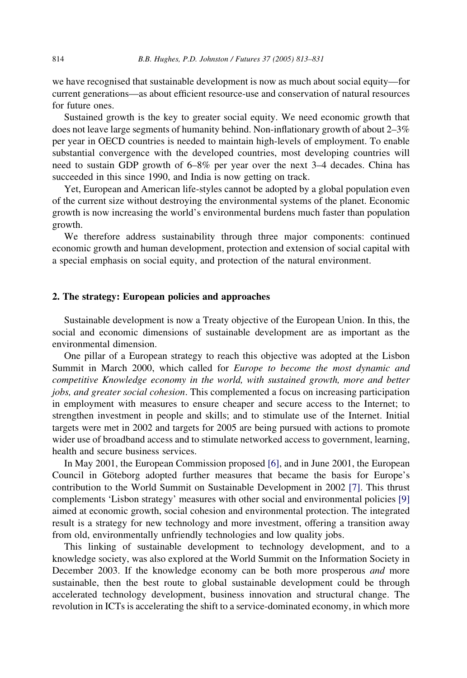we have recognised that sustainable development is now as much about social equity—for current generations—as about efficient resource-use and conservation of natural resources for future ones.

Sustained growth is the key to greater social equity. We need economic growth that does not leave large segments of humanity behind. Non-inflationary growth of about 2–3% per year in OECD countries is needed to maintain high-levels of employment. To enable substantial convergence with the developed countries, most developing countries will need to sustain GDP growth of 6–8% per year over the next 3–4 decades. China has succeeded in this since 1990, and India is now getting on track.

Yet, European and American life-styles cannot be adopted by a global population even of the current size without destroying the environmental systems of the planet. Economic growth is now increasing the world's environmental burdens much faster than population growth.

We therefore address sustainability through three major components: continued economic growth and human development, protection and extension of social capital with a special emphasis on social equity, and protection of the natural environment.

# 2. The strategy: European policies and approaches

Sustainable development is now a Treaty objective of the European Union. In this, the social and economic dimensions of sustainable development are as important as the environmental dimension.

One pillar of a European strategy to reach this objective was adopted at the Lisbon Summit in March 2000, which called for Europe to become the most dynamic and competitive Knowledge economy in the world, with sustained growth, more and better jobs, and greater social cohesion. This complemented a focus on increasing participation in employment with measures to ensure cheaper and secure access to the Internet; to strengthen investment in people and skills; and to stimulate use of the Internet. Initial targets were met in 2002 and targets for 2005 are being pursued with actions to promote wider use of broadband access and to stimulate networked access to government, learning, health and secure business services.

In May 2001, the European Commission proposed [\[6\]](#page-17-0), and in June 2001, the European Council in Göteborg adopted further measures that became the basis for Europe's contribution to the World Summit on Sustainable Development in 2002 [\[7\]](#page-17-0). This thrust complements 'Lisbon strategy' measures with other social and environmental policies [\[9\]](#page-17-0) aimed at economic growth, social cohesion and environmental protection. The integrated result is a strategy for new technology and more investment, offering a transition away from old, environmentally unfriendly technologies and low quality jobs.

This linking of sustainable development to technology development, and to a knowledge society, was also explored at the World Summit on the Information Society in December 2003. If the knowledge economy can be both more prosperous and more sustainable, then the best route to global sustainable development could be through accelerated technology development, business innovation and structural change. The revolution in ICTs is accelerating the shift to a service-dominated economy, in which more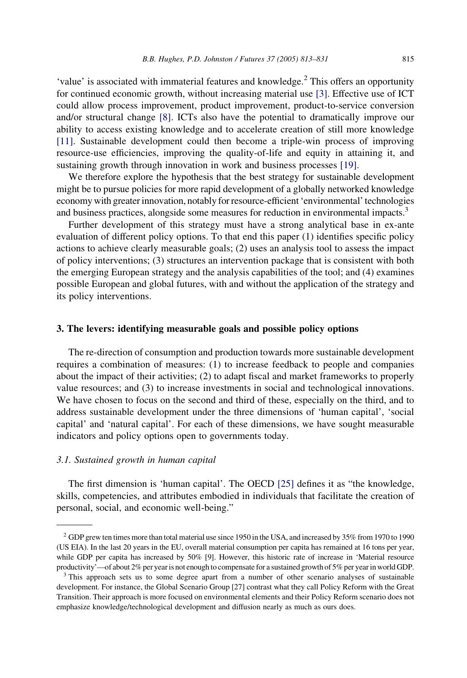'value' is associated with immaterial features and knowledge.<sup>2</sup> This offers an opportunity for continued economic growth, without increasing material use [\[3\]](#page-17-0). Effective use of ICT could allow process improvement, product improvement, product-to-service conversion and/or structural change [\[8\].](#page-17-0) ICTs also have the potential to dramatically improve our ability to access existing knowledge and to accelerate creation of still more knowledge [\[11\]](#page-17-0). Sustainable development could then become a triple-win process of improving resource-use efficiencies, improving the quality-of-life and equity in attaining it, and sustaining growth through innovation in work and business processes [\[19\].](#page-18-0)

We therefore explore the hypothesis that the best strategy for sustainable development might be to pursue policies for more rapid development of a globally networked knowledge economy with greater innovation, notably for resource-efficient 'environmental' technologies and business practices, alongside some measures for reduction in environmental impacts.<sup>3</sup>

Further development of this strategy must have a strong analytical base in ex-ante evaluation of different policy options. To that end this paper (1) identifies specific policy actions to achieve clearly measurable goals; (2) uses an analysis tool to assess the impact of policy interventions; (3) structures an intervention package that is consistent with both the emerging European strategy and the analysis capabilities of the tool; and (4) examines possible European and global futures, with and without the application of the strategy and its policy interventions.

# 3. The levers: identifying measurable goals and possible policy options

The re-direction of consumption and production towards more sustainable development requires a combination of measures: (1) to increase feedback to people and companies about the impact of their activities; (2) to adapt fiscal and market frameworks to properly value resources; and (3) to increase investments in social and technological innovations. We have chosen to focus on the second and third of these, especially on the third, and to address sustainable development under the three dimensions of 'human capital', 'social capital' and 'natural capital'. For each of these dimensions, we have sought measurable indicators and policy options open to governments today.

#### 3.1. Sustained growth in human capital

The first dimension is 'human capital'. The OECD [\[25\]](#page-18-0) defines it as "the knowledge, skills, competencies, and attributes embodied in individuals that facilitate the creation of personal, social, and economic well-being."

<sup>2</sup> GDP grew ten times more than total material use since 1950 in the USA, and increased by 35% from 1970 to 1990 (US EIA). In the last 20 years in the EU, overall material consumption per capita has remained at 16 tons per year, while GDP per capita has increased by 50% [9]. However, this historic rate of increase in 'Material resource

productivity'—of about 2% per year is not enough to compensate for a sustained growth of 5% per year in world GDP.<br><sup>3</sup> This approach sets us to some degree apart from a number of other scenario analyses of sustainable development. For instance, the Global Scenario Group [27] contrast what they call Policy Reform with the Great Transition. Their approach is more focused on environmental elements and their Policy Reform scenario does not emphasize knowledge/technological development and diffusion nearly as much as ours does.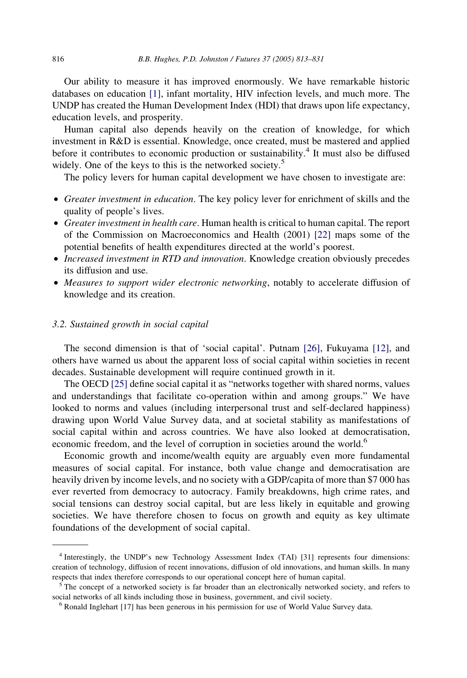Our ability to measure it has improved enormously. We have remarkable historic databases on education [\[1\]](#page-17-0), infant mortality, HIV infection levels, and much more. The UNDP has created the Human Development Index (HDI) that draws upon life expectancy, education levels, and prosperity.

Human capital also depends heavily on the creation of knowledge, for which investment in R&D is essential. Knowledge, once created, must be mastered and applied before it contributes to economic production or sustainability.<sup>4</sup> It must also be diffused widely. One of the keys to this is the networked society.<sup>5</sup>

The policy levers for human capital development we have chosen to investigate are:

- Greater investment in education. The key policy lever for enrichment of skills and the quality of people's lives.
- Greater investment in health care. Human health is critical to human capital. The report of the Commission on Macroeconomics and Health (2001) [\[22\]](#page-18-0) maps some of the potential benefits of health expenditures directed at the world's poorest.
- Increased investment in RTD and innovation. Knowledge creation obviously precedes its diffusion and use.
- Measures to support wider electronic networking, notably to accelerate diffusion of knowledge and its creation.

#### 3.2. Sustained growth in social capital

The second dimension is that of 'social capital'. Putnam [\[26\]](#page-18-0), Fukuyama [\[12\]](#page-17-0), and others have warned us about the apparent loss of social capital within societies in recent decades. Sustainable development will require continued growth in it.

The OECD [\[25\]](#page-18-0) define social capital it as "networks together with shared norms, values and understandings that facilitate co-operation within and among groups." We have looked to norms and values (including interpersonal trust and self-declared happiness) drawing upon World Value Survey data, and at societal stability as manifestations of social capital within and across countries. We have also looked at democratisation, economic freedom, and the level of corruption in societies around the world.<sup>6</sup>

Economic growth and income/wealth equity are arguably even more fundamental measures of social capital. For instance, both value change and democratisation are heavily driven by income levels, and no society with a GDP/capita of more than \$7 000 has ever reverted from democracy to autocracy. Family breakdowns, high crime rates, and social tensions can destroy social capital, but are less likely in equitable and growing societies. We have therefore chosen to focus on growth and equity as key ultimate foundations of the development of social capital.

<sup>4</sup> Interestingly, the UNDP's new Technology Assessment Index (TAI) [31] represents four dimensions: creation of technology, diffusion of recent innovations, diffusion of old innovations, and human skills. In many respects that index therefore corresponds to our operational concept here of human capital.

The concept of a networked society is far broader than an electronically networked society, and refers to social networks of all kinds including those in business, government, and civil society.<br><sup>6</sup> Ronald Inglehart [17] has been generous in his permission for use of World Value Survey data.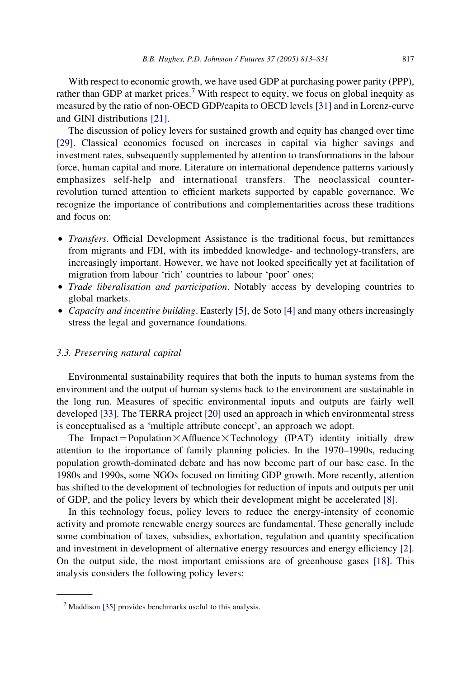With respect to economic growth, we have used GDP at purchasing power parity (PPP), rather than GDP at market prices.<sup>7</sup> With respect to equity, we focus on global inequity as measured by the ratio of non-OECD GDP/capita to OECD levels [\[31\]](#page-18-0) and in Lorenz-curve and GINI distributions [\[21\].](#page-18-0)

The discussion of policy levers for sustained growth and equity has changed over time [\[29\]](#page-18-0). Classical economics focused on increases in capital via higher savings and investment rates, subsequently supplemented by attention to transformations in the labour force, human capital and more. Literature on international dependence patterns variously emphasizes self-help and international transfers. The neoclassical counterrevolution turned attention to efficient markets supported by capable governance. We recognize the importance of contributions and complementarities across these traditions and focus on:

- *Transfers*. Official Development Assistance is the traditional focus, but remittances from migrants and FDI, with its imbedded knowledge- and technology-transfers, are increasingly important. However, we have not looked specifically yet at facilitation of migration from labour 'rich' countries to labour 'poor' ones;
- Trade liberalisation and participation. Notably access by developing countries to global markets.
- Capacity and incentive building. Easterly [\[5\],](#page-17-0) de Soto [\[4\]](#page-17-0) and many others increasingly stress the legal and governance foundations.

#### 3.3. Preserving natural capital

Environmental sustainability requires that both the inputs to human systems from the environment and the output of human systems back to the environment are sustainable in the long run. Measures of specific environmental inputs and outputs are fairly well developed [\[33\].](#page-18-0) The TERRA project [\[20\]](#page-18-0) used an approach in which environmental stress is conceptualised as a 'multiple attribute concept', an approach we adopt.

The Impact=Population $\times$ Affluence $\times$ Technology (IPAT) identity initially drew attention to the importance of family planning policies. In the 1970–1990s, reducing population growth-dominated debate and has now become part of our base case. In the 1980s and 1990s, some NGOs focused on limiting GDP growth. More recently, attention has shifted to the development of technologies for reduction of inputs and outputs per unit of GDP, and the policy levers by which their development might be accelerated [\[8\]](#page-17-0).

In this technology focus, policy levers to reduce the energy-intensity of economic activity and promote renewable energy sources are fundamental. These generally include some combination of taxes, subsidies, exhortation, regulation and quantity specification and investment in development of alternative energy resources and energy efficiency [\[2\].](#page-17-0) On the output side, the most important emissions are of greenhouse gases [\[18\].](#page-18-0) This analysis considers the following policy levers:

<sup>7</sup> Maddison [\[35\]](#page-18-0) provides benchmarks useful to this analysis.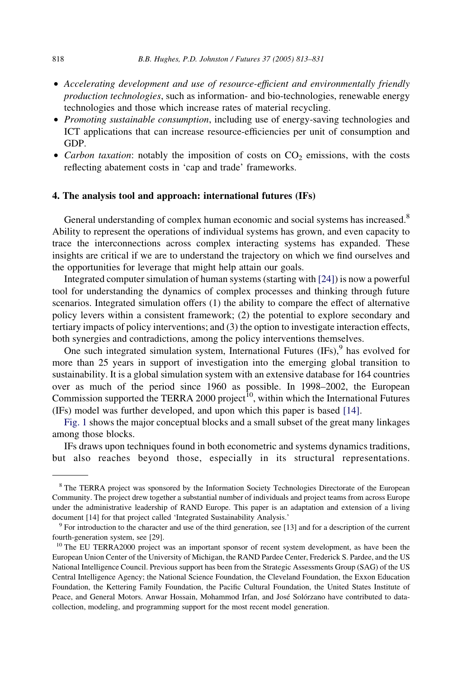- Accelerating development and use of resource-efficient and environmentally friendly production technologies, such as information- and bio-technologies, renewable energy technologies and those which increase rates of material recycling.
- Promoting sustainable consumption, including use of energy-saving technologies and ICT applications that can increase resource-efficiencies per unit of consumption and GDP.
- Carbon taxation: notably the imposition of costs on  $CO<sub>2</sub>$  emissions, with the costs reflecting abatement costs in 'cap and trade' frameworks.

# 4. The analysis tool and approach: international futures (IFs)

General understanding of complex human economic and social systems has increased.<sup>8</sup> Ability to represent the operations of individual systems has grown, and even capacity to trace the interconnections across complex interacting systems has expanded. These insights are critical if we are to understand the trajectory on which we find ourselves and the opportunities for leverage that might help attain our goals.

Integrated computer simulation of human systems (starting with [\[24\]\)](#page-18-0) is now a powerful tool for understanding the dynamics of complex processes and thinking through future scenarios. Integrated simulation offers (1) the ability to compare the effect of alternative policy levers within a consistent framework; (2) the potential to explore secondary and tertiary impacts of policy interventions; and (3) the option to investigate interaction effects, both synergies and contradictions, among the policy interventions themselves.

One such integrated simulation system, International Futures  $(\text{IFs})$ , has evolved for more than 25 years in support of investigation into the emerging global transition to sustainability. It is a global simulation system with an extensive database for 164 countries over as much of the period since 1960 as possible. In 1998–2002, the European Commission supported the TERRA 2000 project<sup>10</sup>, within which the International Futures (IFs) model was further developed, and upon which this paper is based [\[14\].](#page-18-0)

[Fig. 1](#page-6-0) shows the major conceptual blocks and a small subset of the great many linkages among those blocks.

IFs draws upon techniques found in both econometric and systems dynamics traditions, but also reaches beyond those, especially in its structural representations.

<sup>&</sup>lt;sup>8</sup> The TERRA project was sponsored by the Information Society Technologies Directorate of the European Community. The project drew together a substantial number of individuals and project teams from across Europe under the administrative leadership of RAND Europe. This paper is an adaptation and extension of a living document [14] for that project called 'Integrated Sustainability Analysis.' <sup>9</sup> For introduction to the character and use of the third generation, see [13] and for a description of the current

fourth-generation system, see [29].

<sup>&</sup>lt;sup>10</sup> The EU TERRA2000 project was an important sponsor of recent system development, as have been the European Union Center of the University of Michigan, the RAND Pardee Center, Frederick S. Pardee, and the US National Intelligence Council. Previous support has been from the Strategic Assessments Group (SAG) of the US Central Intelligence Agency; the National Science Foundation, the Cleveland Foundation, the Exxon Education Foundation, the Kettering Family Foundation, the Pacific Cultural Foundation, the United States Institute of Peace, and General Motors. Anwar Hossain, Mohammod Irfan, and José Solórzano have contributed to datacollection, modeling, and programming support for the most recent model generation.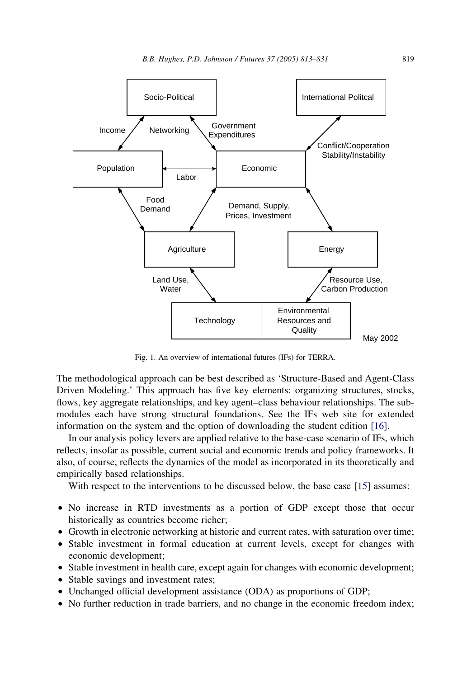<span id="page-6-0"></span>

Fig. 1. An overview of international futures (IFs) for TERRA.

The methodological approach can be best described as 'Structure-Based and Agent-Class Driven Modeling.' This approach has five key elements: organizing structures, stocks, flows, key aggregate relationships, and key agent–class behaviour relationships. The submodules each have strong structural foundations. See the IFs web site for extended information on the system and the option of downloading the student edition [\[16\]](#page-18-0).

In our analysis policy levers are applied relative to the base-case scenario of IFs, which reflects, insofar as possible, current social and economic trends and policy frameworks. It also, of course, reflects the dynamics of the model as incorporated in its theoretically and empirically based relationships.

With respect to the interventions to be discussed below, the base case [\[15\]](#page-18-0) assumes:

- † No increase in RTD investments as a portion of GDP except those that occur historically as countries become richer;
- † Growth in electronic networking at historic and current rates, with saturation over time;
- Stable investment in formal education at current levels, except for changes with economic development;
- † Stable investment in health care, except again for changes with economic development;
- Stable savings and investment rates;
- † Unchanged official development assistance (ODA) as proportions of GDP;
- † No further reduction in trade barriers, and no change in the economic freedom index;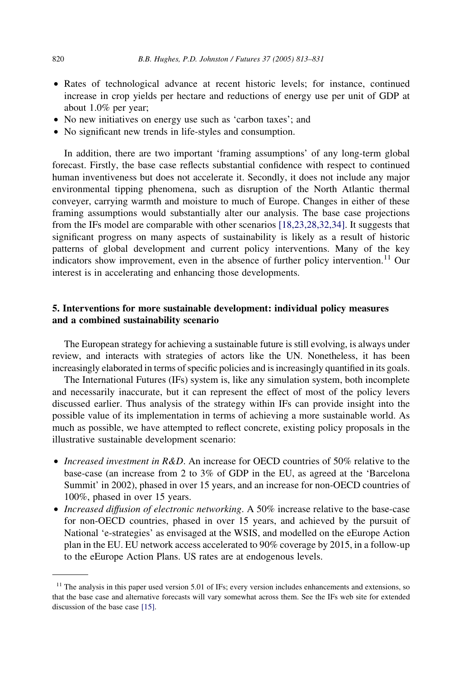- Rates of technological advance at recent historic levels; for instance, continued increase in crop yields per hectare and reductions of energy use per unit of GDP at about 1.0% per year;
- No new initiatives on energy use such as 'carbon taxes'; and
- No significant new trends in life-styles and consumption.

In addition, there are two important 'framing assumptions' of any long-term global forecast. Firstly, the base case reflects substantial confidence with respect to continued human inventiveness but does not accelerate it. Secondly, it does not include any major environmental tipping phenomena, such as disruption of the North Atlantic thermal conveyer, carrying warmth and moisture to much of Europe. Changes in either of these framing assumptions would substantially alter our analysis. The base case projections from the IFs model are comparable with other scenarios [\[18,23,28,32,34\].](#page-18-0) It suggests that significant progress on many aspects of sustainability is likely as a result of historic patterns of global development and current policy interventions. Many of the key indicators show improvement, even in the absence of further policy intervention.<sup>11</sup> Our interest is in accelerating and enhancing those developments.

# 5. Interventions for more sustainable development: individual policy measures and a combined sustainability scenario

The European strategy for achieving a sustainable future is still evolving, is always under review, and interacts with strategies of actors like the UN. Nonetheless, it has been increasingly elaborated in terms of specific policies and is increasingly quantified in its goals.

The International Futures (IFs) system is, like any simulation system, both incomplete and necessarily inaccurate, but it can represent the effect of most of the policy levers discussed earlier. Thus analysis of the strategy within IFs can provide insight into the possible value of its implementation in terms of achieving a more sustainable world. As much as possible, we have attempted to reflect concrete, existing policy proposals in the illustrative sustainable development scenario:

- $\bullet$  Increased investment in R&D. An increase for OECD countries of 50% relative to the base-case (an increase from 2 to 3% of GDP in the EU, as agreed at the 'Barcelona Summit' in 2002), phased in over 15 years, and an increase for non-OECD countries of 100%, phased in over 15 years.
- Increased diffusion of electronic networking. A 50% increase relative to the base-case for non-OECD countries, phased in over 15 years, and achieved by the pursuit of National 'e-strategies' as envisaged at the WSIS, and modelled on the eEurope Action plan in the EU. EU network access accelerated to 90% coverage by 2015, in a follow-up to the eEurope Action Plans. US rates are at endogenous levels.

<sup>&</sup>lt;sup>11</sup> The analysis in this paper used version 5.01 of IFs; every version includes enhancements and extensions, so that the base case and alternative forecasts will vary somewhat across them. See the IFs web site for extended discussion of the base case [\[15\].](#page-18-0)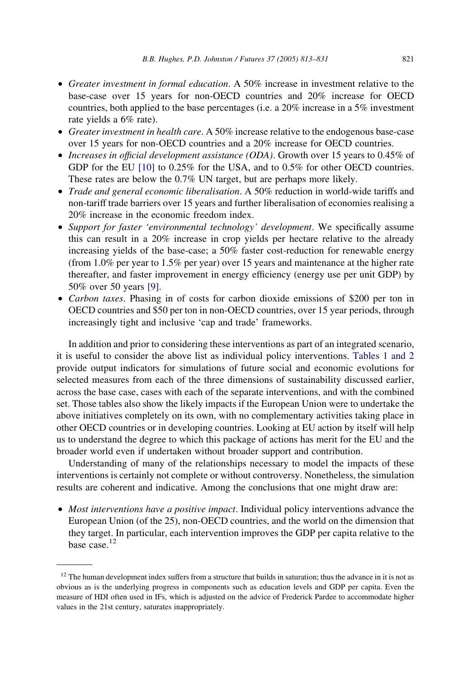- Greater investment in formal education. A 50% increase in investment relative to the base-case over 15 years for non-OECD countries and 20% increase for OECD countries, both applied to the base percentages (i.e. a 20% increase in a 5% investment rate yields a 6% rate).
- Greater investment in health care. A 50% increase relative to the endogenous base-case over 15 years for non-OECD countries and a 20% increase for OECD countries.
- $\bullet$  Increases in official development assistance (ODA). Growth over 15 years to 0.45% of GDP for the EU [\[10\]](#page-17-0) to 0.25% for the USA, and to 0.5% for other OECD countries. These rates are below the 0.7% UN target, but are perhaps more likely.
- Trade and general economic liberalisation. A 50% reduction in world-wide tariffs and non-tariff trade barriers over 15 years and further liberalisation of economies realising a 20% increase in the economic freedom index.
- Support for faster 'environmental technology' development. We specifically assume this can result in a 20% increase in crop yields per hectare relative to the already increasing yields of the base-case; a 50% faster cost-reduction for renewable energy (from 1.0% per year to 1.5% per year) over 15 years and maintenance at the higher rate thereafter, and faster improvement in energy efficiency (energy use per unit GDP) by 50% over 50 years [\[9\]](#page-17-0).
- Carbon taxes. Phasing in of costs for carbon dioxide emissions of \$200 per ton in OECD countries and \$50 per ton in non-OECD countries, over 15 year periods, through increasingly tight and inclusive 'cap and trade' frameworks.

In addition and prior to considering these interventions as part of an integrated scenario, it is useful to consider the above list as individual policy interventions. [Tables 1 and 2](#page-9-0) provide output indicators for simulations of future social and economic evolutions for selected measures from each of the three dimensions of sustainability discussed earlier, across the base case, cases with each of the separate interventions, and with the combined set. Those tables also show the likely impacts if the European Union were to undertake the above initiatives completely on its own, with no complementary activities taking place in other OECD countries or in developing countries. Looking at EU action by itself will help us to understand the degree to which this package of actions has merit for the EU and the broader world even if undertaken without broader support and contribution.

Understanding of many of the relationships necessary to model the impacts of these interventions is certainly not complete or without controversy. Nonetheless, the simulation results are coherent and indicative. Among the conclusions that one might draw are:

• Most interventions have a positive impact. Individual policy interventions advance the European Union (of the 25), non-OECD countries, and the world on the dimension that they target. In particular, each intervention improves the GDP per capita relative to the base case.<sup>12</sup>

 $12$  The human development index suffers from a structure that builds in saturation; thus the advance in it is not as obvious as is the underlying progress in components such as education levels and GDP per capita. Even the measure of HDI often used in IFs, which is adjusted on the advice of Frederick Pardee to accommodate higher values in the 21st century, saturates inappropriately.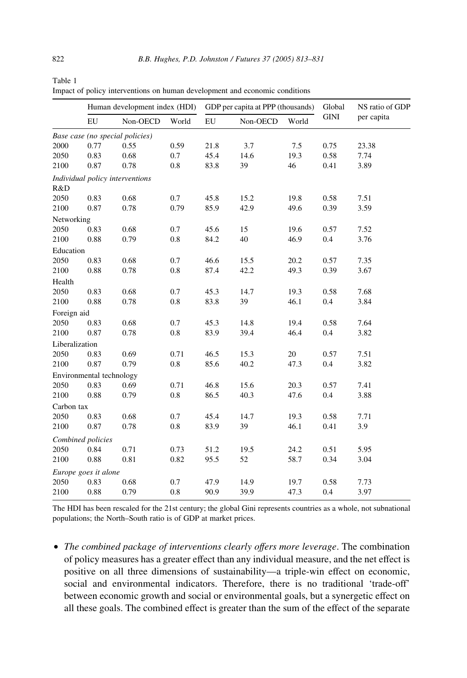<span id="page-9-0"></span>Table 1

Impact of policy interventions on human development and economic conditions

|                   | Human development index (HDI)   |          |       |      | GDP per capita at PPP (thousands) | Global | NS ratio of GDP |            |  |
|-------------------|---------------------------------|----------|-------|------|-----------------------------------|--------|-----------------|------------|--|
|                   | EU                              | Non-OECD | World | EU   | Non-OECD                          | World  | <b>GINI</b>     | per capita |  |
|                   | Base case (no special policies) |          |       |      |                                   |        |                 |            |  |
| 2000              | 0.77                            | 0.55     | 0.59  | 21.8 | 3.7                               | 7.5    | 0.75            | 23.38      |  |
| 2050              | 0.83                            | 0.68     | 0.7   | 45.4 | 14.6                              | 19.3   | 0.58            | 7.74       |  |
| 2100              | 0.87                            | 0.78     | 0.8   | 83.8 | 39                                | 46     | 0.41            | 3.89       |  |
|                   | Individual policy interventions |          |       |      |                                   |        |                 |            |  |
| R&D               |                                 |          |       |      |                                   |        |                 |            |  |
| 2050              | 0.83                            | 0.68     | 0.7   | 45.8 | 15.2                              | 19.8   | 0.58            | 7.51       |  |
| 2100              | 0.87                            | 0.78     | 0.79  | 85.9 | 42.9                              | 49.6   | 0.39            | 3.59       |  |
| Networking        |                                 |          |       |      |                                   |        |                 |            |  |
| 2050              | 0.83                            | 0.68     | 0.7   | 45.6 | 15                                | 19.6   | 0.57            | 7.52       |  |
| 2100              | 0.88                            | 0.79     | 0.8   | 84.2 | 40                                | 46.9   | 0.4             | 3.76       |  |
| Education         |                                 |          |       |      |                                   |        |                 |            |  |
| 2050              | 0.83                            | 0.68     | 0.7   | 46.6 | 15.5                              | 20.2   | 0.57            | 7.35       |  |
| 2100              | 0.88                            | 0.78     | 0.8   | 87.4 | 42.2                              | 49.3   | 0.39            | 3.67       |  |
| Health            |                                 |          |       |      |                                   |        |                 |            |  |
| 2050              | 0.83                            | 0.68     | 0.7   | 45.3 | 14.7                              | 19.3   | 0.58            | 7.68       |  |
| 2100              | 0.88                            | 0.78     | 0.8   | 83.8 | 39                                | 46.1   | 0.4             | 3.84       |  |
| Foreign aid       |                                 |          |       |      |                                   |        |                 |            |  |
| 2050              | 0.83                            | 0.68     | 0.7   | 45.3 | 14.8                              | 19.4   | 0.58            | 7.64       |  |
| 2100              | 0.87                            | 0.78     | 0.8   | 83.9 | 39.4                              | 46.4   | 0.4             | 3.82       |  |
| Liberalization    |                                 |          |       |      |                                   |        |                 |            |  |
| 2050              | 0.83                            | 0.69     | 0.71  | 46.5 | 15.3                              | 20     | 0.57            | 7.51       |  |
| 2100              | 0.87                            | 0.79     | 0.8   | 85.6 | 40.2                              | 47.3   | 0.4             | 3.82       |  |
|                   | Environmental technology        |          |       |      |                                   |        |                 |            |  |
| 2050              | 0.83                            | 0.69     | 0.71  | 46.8 | 15.6                              | 20.3   | 0.57            | 7.41       |  |
| 2100              | 0.88                            | 0.79     | 0.8   | 86.5 | 40.3                              | 47.6   | 0.4             | 3.88       |  |
| Carbon tax        |                                 |          |       |      |                                   |        |                 |            |  |
| 2050              | 0.83                            | 0.68     | 0.7   | 45.4 | 14.7                              | 19.3   | 0.58            | 7.71       |  |
| 2100              | 0.87                            | 0.78     | 0.8   | 83.9 | 39                                | 46.1   | 0.41            | 3.9        |  |
| Combined policies |                                 |          |       |      |                                   |        |                 |            |  |
| 2050              | 0.84                            | 0.71     | 0.73  | 51.2 | 19.5                              | 24.2   | 0.51            | 5.95       |  |
| 2100              | 0.88                            | 0.81     | 0.82  | 95.5 | 52                                | 58.7   | 0.34            | 3.04       |  |
|                   | Europe goes it alone            |          |       |      |                                   |        |                 |            |  |
| 2050              | 0.83                            | 0.68     | 0.7   | 47.9 | 14.9                              | 19.7   | 0.58            | 7.73       |  |
| 2100              | 0.88                            | 0.79     | 0.8   | 90.9 | 39.9                              | 47.3   | 0.4             | 3.97       |  |

The HDI has been rescaled for the 21st century; the global Gini represents countries as a whole, not subnational populations; the North–South ratio is of GDP at market prices.

• The combined package of interventions clearly offers more leverage. The combination of policy measures has a greater effect than any individual measure, and the net effect is positive on all three dimensions of sustainability—a triple-win effect on economic, social and environmental indicators. Therefore, there is no traditional 'trade-off' between economic growth and social or environmental goals, but a synergetic effect on all these goals. The combined effect is greater than the sum of the effect of the separate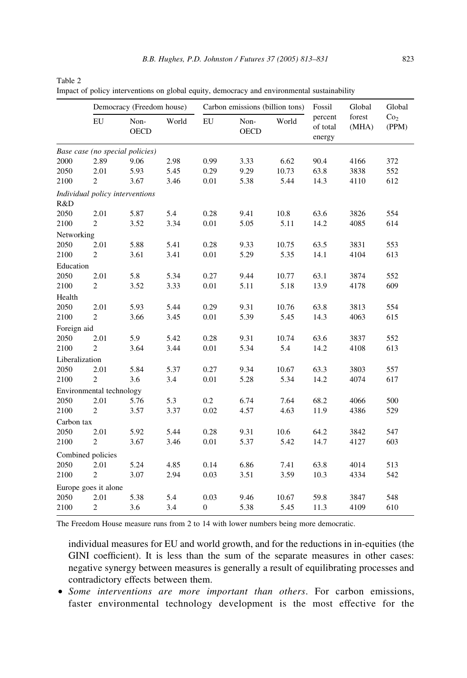|                   | Democracy (Freedom house)       |                     |       |                | Carbon emissions (billion tons) |       | Fossil                        | Global          | Global                   |
|-------------------|---------------------------------|---------------------|-------|----------------|---------------------------------|-------|-------------------------------|-----------------|--------------------------|
|                   | ${\rm EU}$                      | Non-<br><b>OECD</b> | World | ${\rm EU}$     | Non-<br><b>OECD</b>             | World | percent<br>of total<br>energy | forest<br>(MHA) | Co <sub>2</sub><br>(PPM) |
|                   | Base case (no special policies) |                     |       |                |                                 |       |                               |                 |                          |
| 2000              | 2.89                            | 9.06                | 2.98  | 0.99           | 3.33                            | 6.62  | 90.4                          | 4166            | 372                      |
| 2050              | 2.01                            | 5.93                | 5.45  | 0.29           | 9.29                            | 10.73 | 63.8                          | 3838            | 552                      |
| 2100              | $\overline{c}$                  | 3.67                | 3.46  | 0.01           | 5.38                            | 5.44  | 14.3                          | 4110            | 612                      |
| R&D               | Individual policy interventions |                     |       |                |                                 |       |                               |                 |                          |
| 2050              | 2.01                            | 5.87                | 5.4   | 0.28           | 9.41                            | 10.8  | 63.6                          | 3826            | 554                      |
| 2100              | $\overline{2}$                  | 3.52                | 3.34  | 0.01           | 5.05                            | 5.11  | 14.2                          | 4085            | 614                      |
| Networking        |                                 |                     |       |                |                                 |       |                               |                 |                          |
| 2050              | 2.01                            | 5.88                | 5.41  | 0.28           | 9.33                            | 10.75 | 63.5                          | 3831            | 553                      |
| 2100              | $\overline{c}$                  | 3.61                | 3.41  | 0.01           | 5.29                            | 5.35  | 14.1                          | 4104            | 613                      |
| Education         |                                 |                     |       |                |                                 |       |                               |                 |                          |
| 2050              | 2.01                            | 5.8                 | 5.34  | 0.27           | 9.44                            | 10.77 | 63.1                          | 3874            | 552                      |
| 2100              | $\sqrt{2}$                      | 3.52                | 3.33  | $0.01\,$       | 5.11                            | 5.18  | 13.9                          | 4178            | 609                      |
| Health            |                                 |                     |       |                |                                 |       |                               |                 |                          |
| 2050              | 2.01                            | 5.93                | 5.44  | 0.29           | 9.31                            | 10.76 | 63.8                          | 3813            | 554                      |
| 2100              | $\overline{2}$                  | 3.66                | 3.45  | 0.01           | 5.39                            | 5.45  | 14.3                          | 4063            | 615                      |
| Foreign aid       |                                 |                     |       |                |                                 |       |                               |                 |                          |
| 2050              | 2.01                            | 5.9                 | 5.42  | 0.28           | 9.31                            | 10.74 | 63.6                          | 3837            | 552                      |
| 2100              | $\mathbf{2}$                    | 3.64                | 3.44  | 0.01           | 5.34                            | 5.4   | 14.2                          | 4108            | 613                      |
| Liberalization    |                                 |                     |       |                |                                 |       |                               |                 |                          |
| 2050              | 2.01                            | 5.84                | 5.37  | 0.27           | 9.34                            | 10.67 | 63.3                          | 3803            | 557                      |
| 2100              | $\overline{2}$                  | 3.6                 | 3.4   | 0.01           | 5.28                            | 5.34  | 14.2                          | 4074            | 617                      |
|                   | Environmental technology        |                     |       |                |                                 |       |                               |                 |                          |
| 2050              | 2.01                            | 5.76                | 5.3   | 0.2            | 6.74                            | 7.64  | 68.2                          | 4066            | 500                      |
| 2100              | $\overline{c}$                  | 3.57                | 3.37  | 0.02           | 4.57                            | 4.63  | 11.9                          | 4386            | 529                      |
| Carbon tax        |                                 |                     |       |                |                                 |       |                               |                 |                          |
| 2050              | 2.01                            | 5.92                | 5.44  | 0.28           | 9.31                            | 10.6  | 64.2                          | 3842            | 547                      |
| 2100              | $\overline{2}$                  | 3.67                | 3.46  | $0.01\,$       | 5.37                            | 5.42  | 14.7                          | 4127            | 603                      |
| Combined policies |                                 |                     |       |                |                                 |       |                               |                 |                          |
| 2050              | 2.01                            | 5.24                | 4.85  | 0.14           | 6.86                            | 7.41  | 63.8                          | 4014            | 513                      |
| 2100              | $\overline{2}$                  | 3.07                | 2.94  | 0.03           | 3.51                            | 3.59  | 10.3                          | 4334            | 542                      |
|                   | Europe goes it alone            |                     |       |                |                                 |       |                               |                 |                          |
| 2050              | 2.01                            | 5.38                | 5.4   | 0.03           | 9.46                            | 10.67 | 59.8                          | 3847            | 548                      |
| 2100              | $\mathbf{2}$                    | 3.6                 | 3.4   | $\overline{0}$ | 5.38                            | 5.45  | 11.3                          | 4109            | 610                      |

| Table 2                                                                                     |  |
|---------------------------------------------------------------------------------------------|--|
| Impact of policy interventions on global equity, democracy and environmental sustainability |  |

The Freedom House measure runs from 2 to 14 with lower numbers being more democratic.

individual measures for EU and world growth, and for the reductions in in-equities (the GINI coefficient). It is less than the sum of the separate measures in other cases: negative synergy between measures is generally a result of equilibrating processes and contradictory effects between them.

• Some interventions are more important than others. For carbon emissions, faster environmental technology development is the most effective for the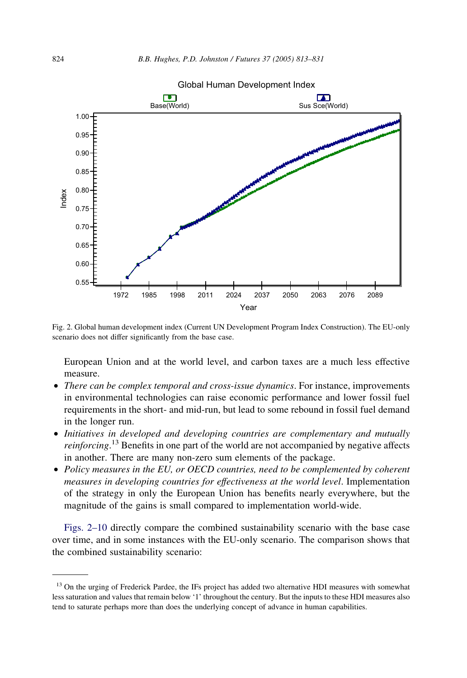

Fig. 2. Global human development index (Current UN Development Program Index Construction). The EU-only scenario does not differ significantly from the base case.

European Union and at the world level, and carbon taxes are a much less effective measure.

- There can be complex temporal and cross-issue dynamics. For instance, improvements in environmental technologies can raise economic performance and lower fossil fuel requirements in the short- and mid-run, but lead to some rebound in fossil fuel demand in the longer run.
- Initiatives in developed and developing countries are complementary and mutually reinforcing.<sup>13</sup> Benefits in one part of the world are not accompanied by negative affects in another. There are many non-zero sum elements of the package.
- Policy measures in the EU, or OECD countries, need to be complemented by coherent measures in developing countries for effectiveness at the world level. Implementation of the strategy in only the European Union has benefits nearly everywhere, but the magnitude of the gains is small compared to implementation world-wide.

Figs. 2–10 directly compare the combined sustainability scenario with the base case over time, and in some instances with the EU-only scenario. The comparison shows that the combined sustainability scenario:

<sup>&</sup>lt;sup>13</sup> On the urging of Frederick Pardee, the IFs project has added two alternative HDI measures with somewhat less saturation and values that remain below '1' throughout the century. But the inputs to these HDI measures also tend to saturate perhaps more than does the underlying concept of advance in human capabilities.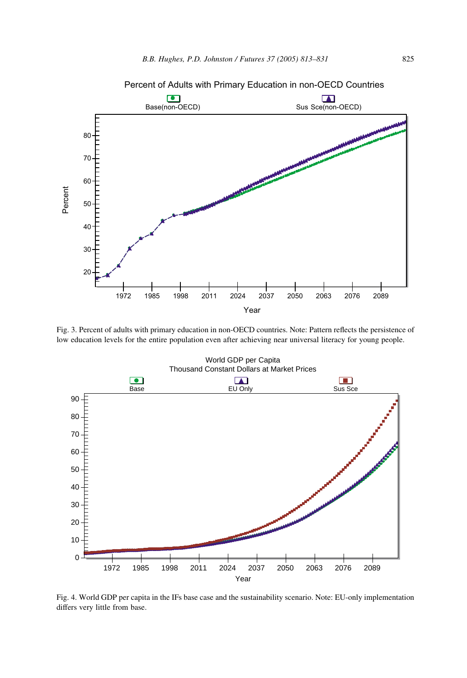

Fig. 3. Percent of adults with primary education in non-OECD countries. Note: Pattern reflects the persistence of low education levels for the entire population even after achieving near universal literacy for young people.



Fig. 4. World GDP per capita in the IFs base case and the sustainability scenario. Note: EU-only implementation differs very little from base.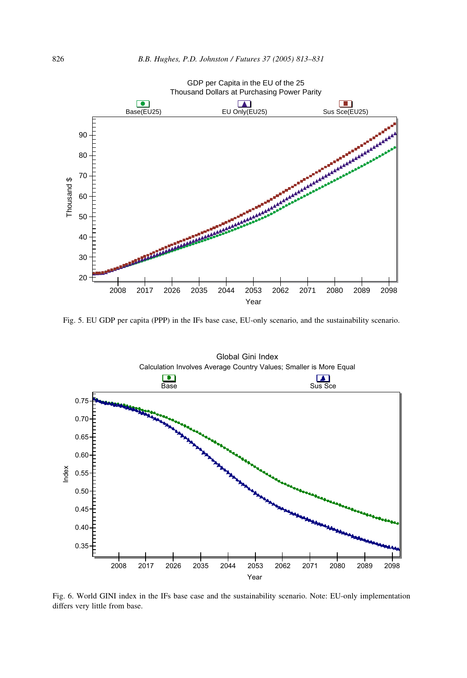<span id="page-13-0"></span>

Fig. 5. EU GDP per capita (PPP) in the IFs base case, EU-only scenario, and the sustainability scenario.



Fig. 6. World GINI index in the IFs base case and the sustainability scenario. Note: EU-only implementation differs very little from base.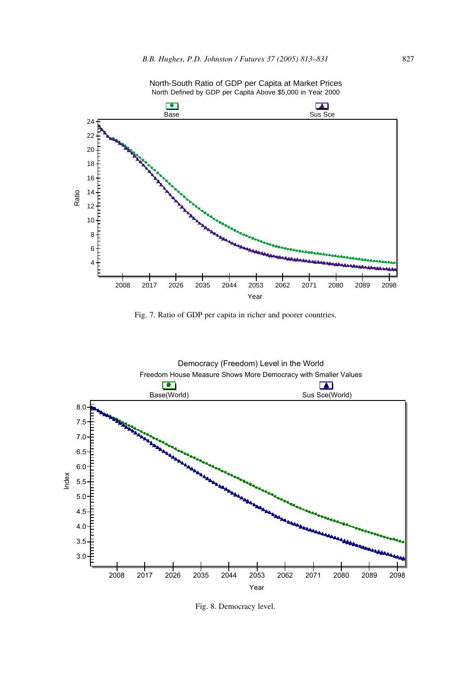<span id="page-14-0"></span>

North-South Ratio of GDP per Capita at Market Prices North Defined by GDP per Capita Above \$5,000 in Year 2000

Fig. 7. Ratio of GDP per capita in richer and poorer countries.



Fig. 8. Democracy level.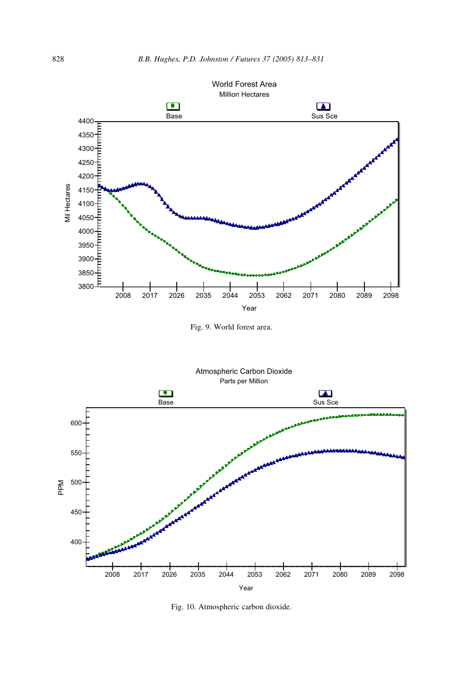

Fig. 9. World forest area.



Fig. 10. Atmospheric carbon dioxide.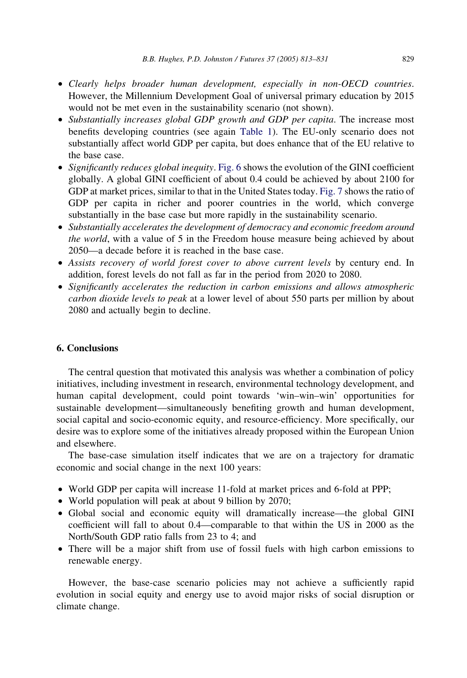- Clearly helps broader human development, especially in non-OECD countries. However, the Millennium Development Goal of universal primary education by 2015 would not be met even in the sustainability scenario (not shown).
- Substantially increases global GDP growth and GDP per capita. The increase most benefits developing countries (see again [Table 1](#page-9-0)). The EU-only scenario does not substantially affect world GDP per capita, but does enhance that of the EU relative to the base case.
- Significantly reduces global inequity. [Fig. 6](#page-13-0) shows the evolution of the GINI coefficient globally. A global GINI coefficient of about 0.4 could be achieved by about 2100 for GDP at market prices, similar to that in the United States today. [Fig. 7](#page-14-0) shows the ratio of GDP per capita in richer and poorer countries in the world, which converge substantially in the base case but more rapidly in the sustainability scenario.
- Substantially accelerates the development of democracy and economic freedom around the world, with a value of 5 in the Freedom house measure being achieved by about 2050—a decade before it is reached in the base case.
- † Assists recovery of world forest cover to above current levels by century end. In addition, forest levels do not fall as far in the period from 2020 to 2080.
- † Significantly accelerates the reduction in carbon emissions and allows atmospheric carbon dioxide levels to peak at a lower level of about 550 parts per million by about 2080 and actually begin to decline.

### 6. Conclusions

The central question that motivated this analysis was whether a combination of policy initiatives, including investment in research, environmental technology development, and human capital development, could point towards 'win–win–win' opportunities for sustainable development—simultaneously benefiting growth and human development, social capital and socio-economic equity, and resource-efficiency. More specifically, our desire was to explore some of the initiatives already proposed within the European Union and elsewhere.

The base-case simulation itself indicates that we are on a trajectory for dramatic economic and social change in the next 100 years:

- World GDP per capita will increase 11-fold at market prices and 6-fold at PPP;
- World population will peak at about 9 billion by 2070;
- † Global social and economic equity will dramatically increase—the global GINI coefficient will fall to about 0.4—comparable to that within the US in 2000 as the North/South GDP ratio falls from 23 to 4; and
- There will be a major shift from use of fossil fuels with high carbon emissions to renewable energy.

However, the base-case scenario policies may not achieve a sufficiently rapid evolution in social equity and energy use to avoid major risks of social disruption or climate change.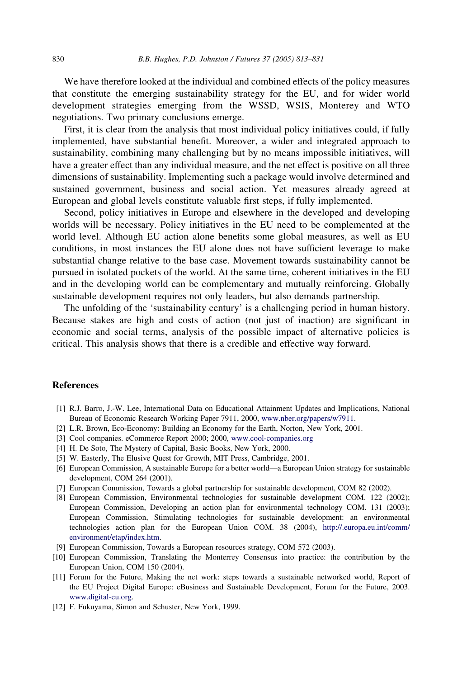<span id="page-17-0"></span>We have therefore looked at the individual and combined effects of the policy measures that constitute the emerging sustainability strategy for the EU, and for wider world development strategies emerging from the WSSD, WSIS, Monterey and WTO negotiations. Two primary conclusions emerge.

First, it is clear from the analysis that most individual policy initiatives could, if fully implemented, have substantial benefit. Moreover, a wider and integrated approach to sustainability, combining many challenging but by no means impossible initiatives, will have a greater effect than any individual measure, and the net effect is positive on all three dimensions of sustainability. Implementing such a package would involve determined and sustained government, business and social action. Yet measures already agreed at European and global levels constitute valuable first steps, if fully implemented.

Second, policy initiatives in Europe and elsewhere in the developed and developing worlds will be necessary. Policy initiatives in the EU need to be complemented at the world level. Although EU action alone benefits some global measures, as well as EU conditions, in most instances the EU alone does not have sufficient leverage to make substantial change relative to the base case. Movement towards sustainability cannot be pursued in isolated pockets of the world. At the same time, coherent initiatives in the EU and in the developing world can be complementary and mutually reinforcing. Globally sustainable development requires not only leaders, but also demands partnership.

The unfolding of the 'sustainability century' is a challenging period in human history. Because stakes are high and costs of action (not just of inaction) are significant in economic and social terms, analysis of the possible impact of alternative policies is critical. This analysis shows that there is a credible and effective way forward.

# References

- [1] R.J. Barro, J.-W. Lee, International Data on Educational Attainment Updates and Implications, National Bureau of Economic Research Working Paper 7911, 2000, [www.nber.org/papers/w7911.](http://www.nber.org/papers/w7911)
- [2] L.R. Brown, Eco-Economy: Building an Economy for the Earth, Norton, New York, 2001.
- [3] Cool companies. eCommerce Report 2000; 2000, [www.cool-companies.org](http://www.cool-companies.org)
- [4] H. De Soto, The Mystery of Capital, Basic Books, New York, 2000.
- [5] W. Easterly, The Elusive Quest for Growth, MIT Press, Cambridge, 2001.
- [6] European Commission, A sustainable Europe for a better world—a European Union strategy for sustainable development, COM 264 (2001).
- [7] European Commission, Towards a global partnership for sustainable development, COM 82 (2002).
- [8] European Commission, Environmental technologies for sustainable development COM. 122 (2002); European Commission, Developing an action plan for environmental technology COM. 131 (2003); European Commission, Stimulating technologies for sustainable development: an environmental technologies action plan for the European Union COM. 38 (2004), [http://.europa.eu.int/comm/](http://.europa.eu.int/comm/environment/etap/index.htm) [environment/etap/index.htm.](http://.europa.eu.int/comm/environment/etap/index.htm)
- [9] European Commission, Towards a European resources strategy, COM 572 (2003).
- [10] European Commission, Translating the Monterrey Consensus into practice: the contribution by the European Union, COM 150 (2004).
- [11] Forum for the Future, Making the net work: steps towards a sustainable networked world, Report of the EU Project Digital Europe: eBusiness and Sustainable Development, Forum for the Future, 2003. [www.digital-eu.org.](http://www.digital-eu.org)
- [12] F. Fukuyama, Simon and Schuster, New York, 1999.